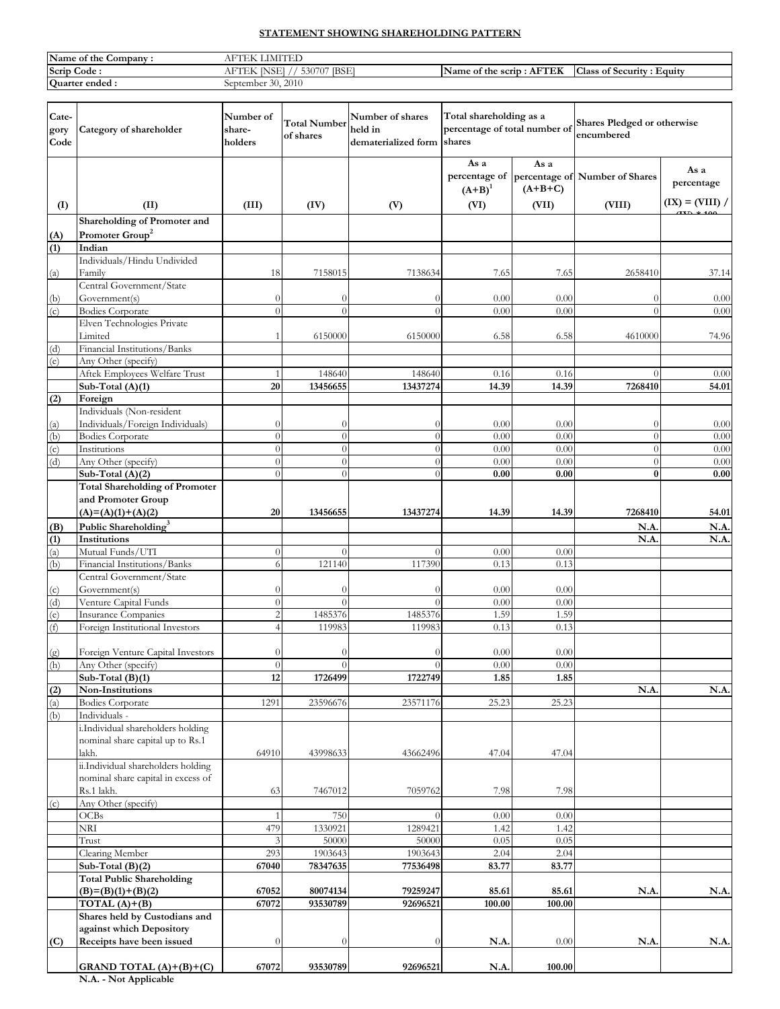# **STATEMENT SHOWING SHAREHOLDING PATTERN**

| Name of the<br>Company | $\cdots$<br>18.                                     |                                                  |                                            |
|------------------------|-----------------------------------------------------|--------------------------------------------------|--------------------------------------------|
| Scrip<br>Code :        | <b>IBSE</b><br>$-0.07$<br>$-330''$<br>NƏEI<br>حىد ب | $\blacksquare$<br>TER<br>Name of the scrip<br>Aŀ | $\sim$<br>Equity<br>of Security :<br>Class |
| Quarter ended:         | 2010<br>$\sim$<br>September<br>$\sim$               |                                                  |                                            |

| Cate-<br>gory<br>Code | Category of shareholder                                   | Number of<br>share-<br>holders   | <b>Total Number</b><br>of shares | Number of shares<br>held in<br>dematerialized form shares | Total shareholding as a<br>percentage of total number of |                   | Shares Pledged or otherwise<br>encumbered |                    |
|-----------------------|-----------------------------------------------------------|----------------------------------|----------------------------------|-----------------------------------------------------------|----------------------------------------------------------|-------------------|-------------------------------------------|--------------------|
|                       |                                                           |                                  |                                  |                                                           | As a<br>percentage of<br>$(A+B)^1$                       | As a<br>$(A+B+C)$ | percentage of Number of Shares            | As a<br>percentage |
| (I)                   | (II)                                                      | (III)                            | (IV)                             | (V)                                                       | (VI)                                                     | (VII)             | (VIII)                                    | $(IX) = (VIII) /$  |
|                       | Shareholding of Promoter and                              |                                  |                                  |                                                           |                                                          |                   |                                           |                    |
| (A)                   | Promoter Group <sup>2</sup>                               |                                  |                                  |                                                           |                                                          |                   |                                           |                    |
| (1)                   | Indian<br>Individuals/Hindu Undivided                     |                                  |                                  |                                                           |                                                          |                   |                                           |                    |
| (a)                   | Family                                                    | 18                               | 7158015                          | 7138634                                                   | 7.65                                                     | 7.65              | 2658410                                   | 37.14              |
|                       | Central Government/State                                  |                                  |                                  |                                                           |                                                          |                   |                                           |                    |
| (b)                   | Government(s)                                             | $\boldsymbol{0}$                 | $\theta$                         | $\theta$                                                  | 0.00                                                     | 0.00              | $\theta$                                  | 0.00               |
| (c)                   | <b>Bodies Corporate</b>                                   | $\theta$                         | $\theta$                         | $\theta$                                                  | 0.00                                                     | 0.00              | $\theta$                                  | 0.00               |
|                       | Elven Technologies Private                                |                                  |                                  |                                                           |                                                          |                   |                                           |                    |
|                       | Limited                                                   | 1                                | 6150000                          | 6150000                                                   | 6.58                                                     | 6.58              | 4610000                                   | 74.96              |
| (d)<br>(e)            | Financial Institutions/Banks<br>Any Other (specify)       |                                  |                                  |                                                           |                                                          |                   |                                           |                    |
|                       | Aftek Employees Welfare Trust                             | 1                                | 148640                           | 148640                                                    | 0.16                                                     | 0.16              | $\Omega$                                  | 0.00               |
|                       | Sub-Total (A)(1)                                          | 20                               | 13456655                         | 13437274                                                  | 14.39                                                    | 14.39             | 7268410                                   | 54.01              |
| (2)                   | Foreign                                                   |                                  |                                  |                                                           |                                                          |                   |                                           |                    |
|                       | Individuals (Non-resident                                 |                                  |                                  |                                                           |                                                          |                   |                                           |                    |
| (a)                   | Individuals/Foreign Individuals)                          | $\theta$                         | $\theta$                         | $\theta$                                                  | 0.00                                                     | 0.00              | $\theta$                                  | 0.00               |
| (b)                   | <b>Bodies Corporate</b>                                   | $\theta$                         | $\theta$                         | $\theta$                                                  | 0.00                                                     | 0.00              | $\theta$                                  | 0.00               |
| $\overline{c}$        | Institutions                                              | $\overline{0}$                   | $\overline{0}$                   | $\theta$                                                  | 0.00                                                     | 0.00              | $\theta$                                  | 0.00               |
| (d)                   | Any Other (specify)                                       | $\overline{0}$<br>$\theta$       | $\theta$<br>$\Omega$             | $\theta$                                                  | 0.00                                                     | 0.00              | $\theta$<br>$\bf{0}$                      | 0.00               |
|                       | Sub-Total (A)(2)<br><b>Total Shareholding of Promoter</b> |                                  |                                  | $\overline{0}$                                            | 0.00                                                     | 0.00              |                                           | 0.00               |
|                       | and Promoter Group                                        |                                  |                                  |                                                           |                                                          |                   |                                           |                    |
|                       | $(A)= (A)(1)+(A)(2)$                                      | 20                               | 13456655                         | 13437274                                                  | 14.39                                                    | 14.39             | 7268410                                   | 54.01              |
| (B)                   | Public Shareholding <sup>3</sup>                          |                                  |                                  |                                                           |                                                          |                   | N.A                                       | N.A.               |
| (1)                   | Institutions                                              |                                  |                                  |                                                           |                                                          |                   | N.A                                       | N.A.               |
| (a)                   | Mutual Funds/UTI                                          | $\overline{0}$                   | $\theta$                         | $\overline{0}$                                            | 0.00                                                     | 0.00              |                                           |                    |
| (b)                   | Financial Institutions/Banks                              | 6                                | 121140                           | 117390                                                    | 0.13                                                     | 0.13              |                                           |                    |
|                       | Central Government/State                                  |                                  |                                  |                                                           |                                                          |                   |                                           |                    |
| (c)                   | Government(s)                                             | $\theta$                         | $\theta$                         | $\theta$                                                  | 0.00                                                     | 0.00              |                                           |                    |
| (d)                   | Venture Capital Funds                                     | $\overline{0}$                   | $\Omega$                         | $\theta$                                                  | 0.00                                                     | 0.00              |                                           |                    |
| (e)                   | <b>Insurance Companies</b>                                | $\overline{2}$<br>$\overline{A}$ | 1485376                          | 1485376                                                   | 1.59                                                     | 1.59              |                                           |                    |
| (f)                   | Foreign Institutional Investors                           |                                  | 119983                           | 119983                                                    | 0.13                                                     | 0.13              |                                           |                    |
| (g)                   | Foreign Venture Capital Investors                         | $\theta$                         | $\theta$                         | $\Omega$                                                  | 0.00                                                     | 0.00              |                                           |                    |
| (h)                   | Any Other (specify)                                       | $\overline{0}$                   | $\theta$                         | $\theta$                                                  | 0.00                                                     | 0.00              |                                           |                    |
|                       | Sub-Total (B)(1)                                          | 12                               | 1726499                          | 1722749                                                   | 1.85                                                     | 1.85              |                                           |                    |
| (2)                   | Non-Institutions                                          |                                  |                                  |                                                           |                                                          |                   | N.A                                       | N.A.               |
| (a)                   | <b>Bodies Corporate</b>                                   | 1291                             | 23596676                         | 23571176                                                  | 25.23                                                    | 25.23             |                                           |                    |
| (b)                   | Individuals -                                             |                                  |                                  |                                                           |                                                          |                   |                                           |                    |
|                       | i.Individual shareholders holding                         |                                  |                                  |                                                           |                                                          |                   |                                           |                    |
|                       | nominal share capital up to Rs.1<br>lakh.                 | 64910                            | 43998633                         | 43662496                                                  | 47.04                                                    | 47.04             |                                           |                    |
|                       | ii.Individual shareholders holding                        |                                  |                                  |                                                           |                                                          |                   |                                           |                    |
|                       | nominal share capital in excess of                        |                                  |                                  |                                                           |                                                          |                   |                                           |                    |
|                       | Rs.1 lakh.                                                | 63                               | 7467012                          | 7059762                                                   | 7.98                                                     | 7.98              |                                           |                    |
| (c)                   | Any Other (specify)                                       |                                  |                                  |                                                           |                                                          |                   |                                           |                    |
|                       | OCBs                                                      | 1                                | 750                              | $\theta$                                                  | 0.00                                                     | 0.00              |                                           |                    |
|                       | NRI                                                       | 479                              | 1330921                          | 1289421                                                   | 1.42                                                     | 1.42              |                                           |                    |
|                       | Trust                                                     | 3                                | 50000                            | 50000                                                     | 0.05                                                     | 0.05              |                                           |                    |
|                       | Clearing Member                                           | 293                              | 1903643                          | 1903643                                                   | 2.04                                                     | 2.04              |                                           |                    |
|                       | Sub-Total $(B)(2)$                                        | 67040                            | 78347635                         | 77536498                                                  | 83.77                                                    | 83.77             |                                           |                    |
|                       | <b>Total Public Shareholding</b><br>$(B)=(B)(1)+(B)(2)$   | 67052                            | 80074134                         | 79259247                                                  | 85.61                                                    | 85.61             | N.A                                       | N.A.               |
|                       | TOTAL $(A)+(B)$                                           | 67072                            | 93530789                         | 92696521                                                  | 100.00                                                   | 100.00            |                                           |                    |
|                       | Shares held by Custodians and                             |                                  |                                  |                                                           |                                                          |                   |                                           |                    |
|                       | against which Depository                                  |                                  |                                  |                                                           |                                                          |                   |                                           |                    |
| (C)                   | Receipts have been issued                                 | $\theta$                         | $\theta$                         | $\overline{0}$                                            | N.A                                                      | 0.00              | N.A                                       | N.A.               |
|                       |                                                           |                                  |                                  |                                                           |                                                          |                   |                                           |                    |
|                       | GRAND TOTAL $(A)+(B)+(C)$                                 | 67072                            | 93530789                         | 92696521                                                  | N.A.                                                     | 100.00            |                                           |                    |

**N.A. - Not Applicable**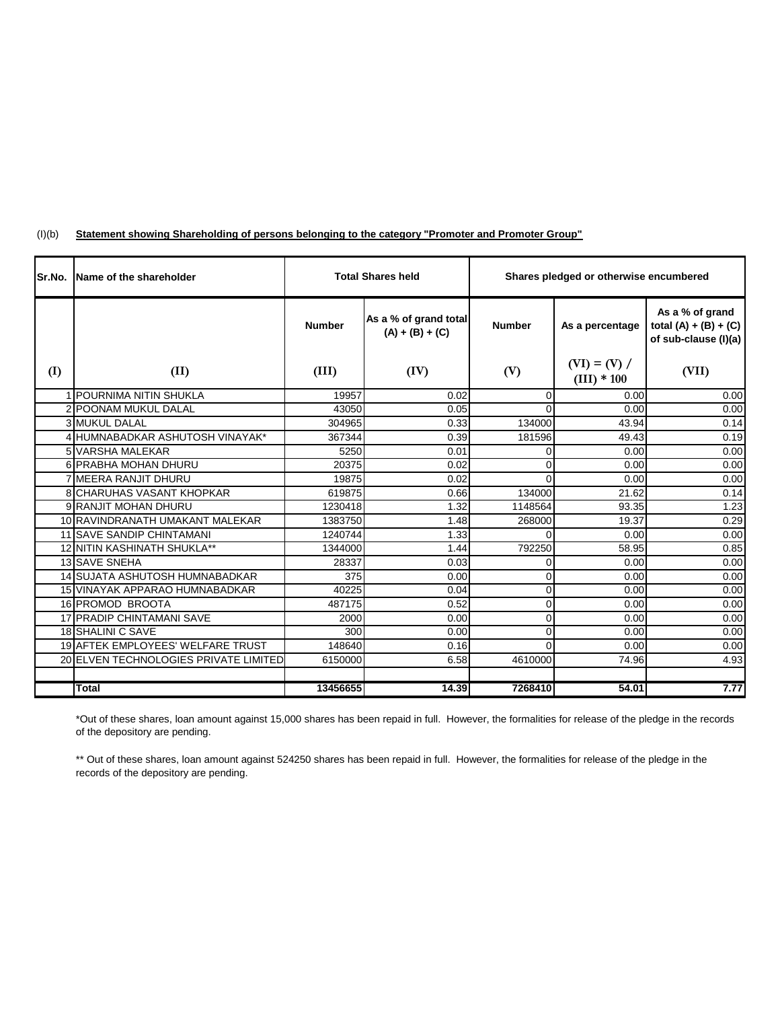| Sr.No. | <b>IName of the shareholder</b>          | <b>Total Shares held</b> |                                            | Shares pledged or otherwise encumbered |                                 |                                                                    |
|--------|------------------------------------------|--------------------------|--------------------------------------------|----------------------------------------|---------------------------------|--------------------------------------------------------------------|
|        |                                          | <b>Number</b>            | As a % of grand total<br>$(A) + (B) + (C)$ | <b>Number</b>                          | As a percentage                 | As a % of grand<br>total $(A) + (B) + (C)$<br>of sub-clause (I)(a) |
| (I)    | (II)                                     | (III)                    | (IV)                                       | (V)                                    | $(VI) = (V) /$<br>$(III) * 100$ | (VII)                                                              |
|        | 1 POURNIMA NITIN SHUKLA                  | 19957                    | 0.02                                       | $\Omega$                               | 0.00                            | 0.00                                                               |
|        | 2 POONAM MUKUL DALAL                     | 43050                    | 0.05                                       | $\Omega$                               | 0.00                            | 0.00                                                               |
|        | <b>3 MUKUL DALAL</b>                     | 304965                   | 0.33                                       | 134000                                 | 43.94                           | 0.14                                                               |
|        | 4 HUMNABADKAR ASHUTOSH VINAYAK*          | 367344                   | 0.39                                       | 181596                                 | 49.43                           | 0.19                                                               |
|        | 5 VARSHA MALEKAR                         | 5250                     | 0.01                                       | $\overline{0}$                         | 0.00                            | 0.00                                                               |
|        | 6 PRABHA MOHAN DHURU                     | 20375                    | 0.02                                       | $\Omega$                               | 0.00                            | 0.00                                                               |
|        | 7 MEERA RANJIT DHURU                     | 19875                    | 0.02                                       | $\Omega$                               | 0.00                            | 0.00                                                               |
|        | <b>8 CHARUHAS VASANT KHOPKAR</b>         | 619875                   | 0.66                                       | 134000                                 | 21.62                           | 0.14                                                               |
|        | 9 RANJIT MOHAN DHURU                     | 1230418                  | 1.32                                       | 1148564                                | 93.35                           | 1.23                                                               |
|        | 10 RAVINDRANATH UMAKANT MALEKAR          | 1383750                  | 1.48                                       | 268000                                 | 19.37                           | 0.29                                                               |
|        | <b>11 SAVE SANDIP CHINTAMANI</b>         | 1240744                  | 1.33                                       | $\Omega$                               | 0.00                            | 0.00                                                               |
|        | 12 NITIN KASHINATH SHUKLA**              | 1344000                  | 1.44                                       | 792250                                 | 58.95                           | 0.85                                                               |
|        | 13 SAVE SNEHA                            | 28337                    | 0.03                                       | 0                                      | 0.00                            | 0.00                                                               |
|        | 14 SUJATA ASHUTOSH HUMNABADKAR           | 375                      | 0.00                                       | $\Omega$                               | 0.00                            | 0.00                                                               |
|        | 15 VINAYAK APPARAO HUMNABADKAR           | 40225                    | 0.04                                       | $\mathbf 0$                            | 0.00                            | 0.00                                                               |
|        | 16 PROMOD BROOTA                         | 487175                   | 0.52                                       | $\Omega$                               | 0.00                            | 0.00                                                               |
|        | 17 PRADIP CHINTAMANI SAVE                | 2000                     | 0.00                                       | $\Omega$                               | 0.00                            | 0.00                                                               |
|        | 18 SHALINI C SAVE                        | 300                      | 0.00                                       | $\Omega$                               | 0.00                            | 0.00                                                               |
|        | <b>19 AFTEK EMPLOYEES' WELFARE TRUST</b> | 148640                   | 0.16                                       | $\Omega$                               | 0.00                            | 0.00                                                               |
|        | 20 ELVEN TECHNOLOGIES PRIVATE LIMITED    | 6150000                  | 6.58                                       | 4610000                                | 74.96                           | 4.93                                                               |
|        |                                          |                          |                                            |                                        |                                 |                                                                    |
|        | <b>Total</b>                             | 13456655                 | 14.39                                      | 7268410                                | 54.01                           | 7.77                                                               |

#### $(I)(b)$ **Statement showing Shareholding of persons belonging to the category "Promoter and Promoter Group"**

\*Out of these shares, loan amount against 15,000 shares has been repaid in full. However, the formalities for release of the pledge in the records of the depository are pending.

\*\* Out of these shares, loan amount against 524250 shares has been repaid in full. However, the formalities for release of the pledge in the records of the depository are pending.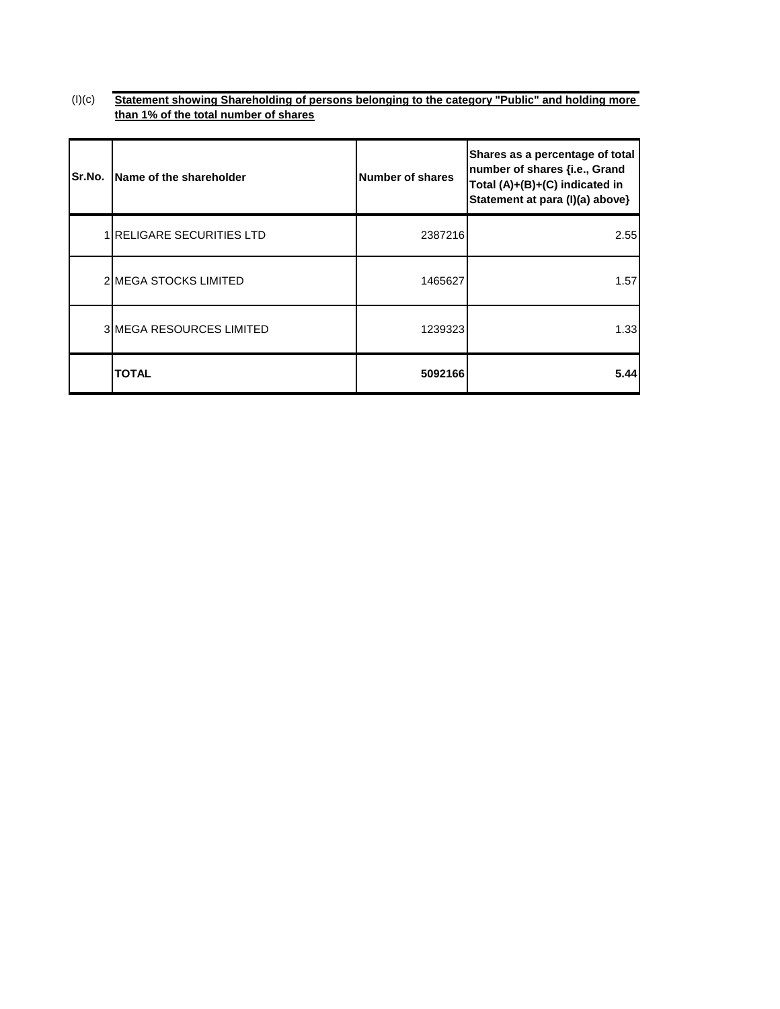$(l)(c)$ **Statement showing Shareholding of persons belonging to the category "Public" and holding more than 1% of the total number of shares**

| Sr.No. | Name of the shareholder         | <b>Number of shares</b> | Shares as a percentage of total<br>number of shares {i.e., Grand<br>Total (A)+(B)+(C) indicated in<br>Statement at para (I)(a) above} |
|--------|---------------------------------|-------------------------|---------------------------------------------------------------------------------------------------------------------------------------|
|        | 1 RELIGARE SECURITIES LTD       | 2387216                 | 2.55                                                                                                                                  |
|        | 2 IMEGA STOCKS LIMITED          | 1465627                 | 1.57                                                                                                                                  |
|        | <b>3IMEGA RESOURCES LIMITED</b> | 1239323                 | 1.33                                                                                                                                  |
|        | <b>TOTAL</b>                    | 5092166                 | 5.44                                                                                                                                  |